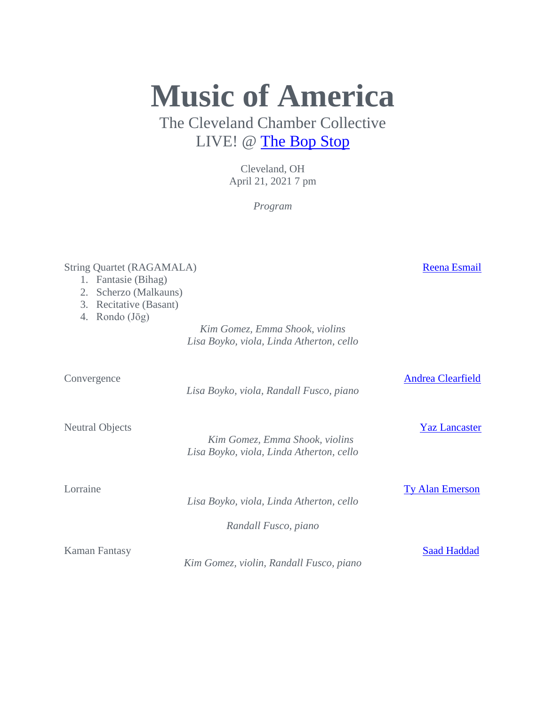**Music of America** The Cleveland Chamber Collective

LIVE! @ [The Bop Stop](https://www.facebook.com/bopstop)

Cleveland, OH April 21, 2021 7 pm

*Program*

# String Quartet (RAGAMALA) [Reena Esmail](http://www.reenaesmail.com/)

- 1. Fantasie (Bihag)
- 2. Scherzo (Malkauns)
- 3. Recitative (Basant)
- 4. Rondo (Jōg)

*Kim Gomez, Emma Shook, violins Lisa Boyko, viola, Linda Atherton, cello*

Convergence [Andrea Clearfield](http://www.andreaclearfield.com/)

*Lisa Boyko, viola, Randall Fusco, piano*

Neutral Objects [Yaz Lancaster](http://www.yaz-lancaster.com/)

 *Kim Gomez, Emma Shook, violins Lisa Boyko, viola, Linda Atherton, cello*

Lorraine [Ty Alan Emerson](http://www.tyalanemerson.com/)

*Lisa Boyko, viola, Linda Atherton, cello*

*Randall Fusco, piano*

*Kim Gomez, violin, Randall Fusco, piano*

Kaman Fantasy [Saad Haddad](http://www.saadhaddad.com/)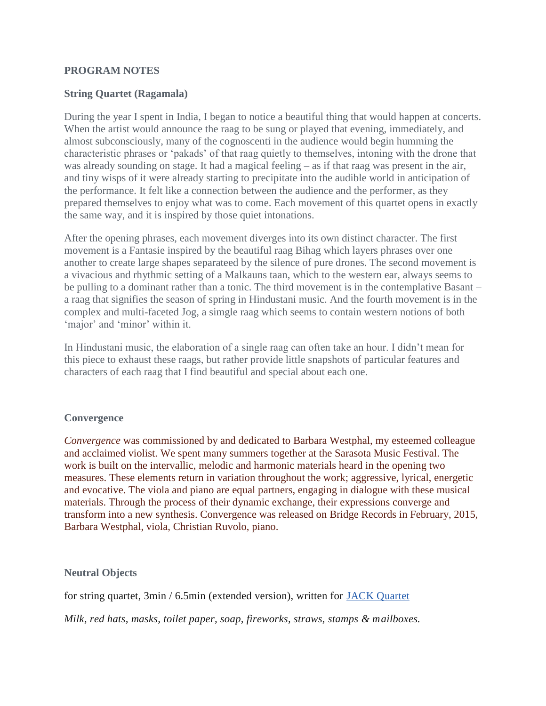#### **PROGRAM NOTES**

## **String Quartet (Ragamala)**

During the year I spent in India, I began to notice a beautiful thing that would happen at concerts. When the artist would announce the raag to be sung or played that evening, immediately, and almost subconsciously, many of the cognoscenti in the audience would begin humming the characteristic phrases or 'pakads' of that raag quietly to themselves, intoning with the drone that was already sounding on stage. It had a magical feeling – as if that raag was present in the air, and tiny wisps of it were already starting to precipitate into the audible world in anticipation of the performance. It felt like a connection between the audience and the performer, as they prepared themselves to enjoy what was to come. Each movement of this quartet opens in exactly the same way, and it is inspired by those quiet intonations.

After the opening phrases, each movement diverges into its own distinct character. The first movement is a Fantasie inspired by the beautiful raag Bihag which layers phrases over one another to create large shapes separateed by the silence of pure drones. The second movement is a vivacious and rhythmic setting of a Malkauns taan, which to the western ear, always seems to be pulling to a dominant rather than a tonic. The third movement is in the contemplative Basant – a raag that signifies the season of spring in Hindustani music. And the fourth movement is in the complex and multi-faceted Jog, a simgle raag which seems to contain western notions of both 'major' and 'minor' within it.

In Hindustani music, the elaboration of a single raag can often take an hour. I didn't mean for this piece to exhaust these raags, but rather provide little snapshots of particular features and characters of each raag that I find beautiful and special about each one.

#### **Convergence**

*Convergence* was commissioned by and dedicated to Barbara Westphal, my esteemed colleague and acclaimed violist. We spent many summers together at the Sarasota Music Festival. The work is built on the intervallic, melodic and harmonic materials heard in the opening two measures. These elements return in variation throughout the work; aggressive, lyrical, energetic and evocative. The viola and piano are equal partners, engaging in dialogue with these musical materials. Through the process of their dynamic exchange, their expressions converge and transform into a new synthesis. Convergence was released on Bridge Records in February, 2015, Barbara Westphal, viola, Christian Ruvolo, piano.

**Neutral Objects**

for string quartet, 3min / 6.5min (extended version), written for [JACK Quartet](http://jackquartet.com/)

*Milk, red hats, masks, toilet paper, soap, fireworks, straws, stamps & mailboxes.*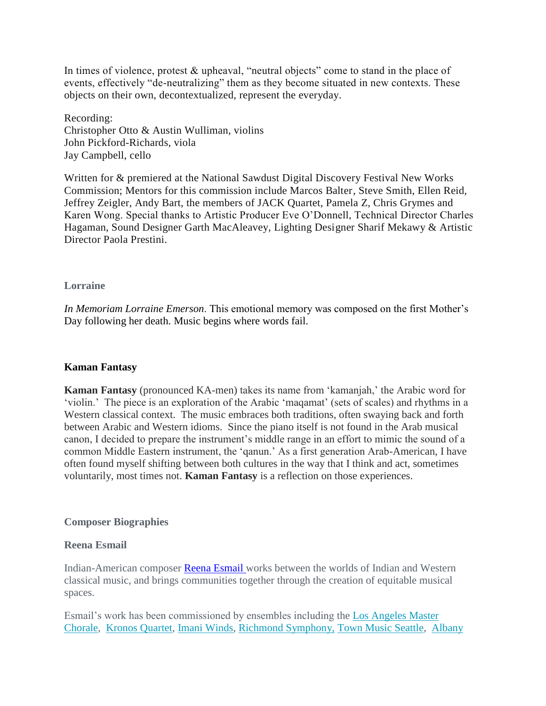In times of violence, protest & upheaval, "neutral objects" come to stand in the place of events, effectively "de-neutralizing" them as they become situated in new contexts. These objects on their own, decontextualized, represent the everyday.

Recording: Christopher Otto & Austin Wulliman, violins John Pickford-Richards, viola Jay Campbell, cello

Written for & premiered at the National Sawdust Digital Discovery Festival New Works Commission; Mentors for this commission include Marcos Balter, Steve Smith, Ellen Reid, Jeffrey Zeigler, Andy Bart, the members of JACK Quartet, Pamela Z, Chris Grymes and Karen Wong. Special thanks to Artistic Producer Eve O'Donnell, Technical Director Charles Hagaman, Sound Designer Garth MacAleavey, Lighting Designer Sharif Mekawy & Artistic Director Paola Prestini.

#### **Lorraine**

*In Memoriam Lorraine Emerson*. This emotional memory was composed on the first Mother's Day following her death. Music begins where words fail.

## **Kaman Fantasy**

**Kaman Fantasy** (pronounced KA-men) takes its name from 'kamanjah,' the Arabic word for 'violin.' The piece is an exploration of the Arabic 'maqamat' (sets of scales) and rhythms in a Western classical context. The music embraces both traditions, often swaying back and forth between Arabic and Western idioms. Since the piano itself is not found in the Arab musical canon, I decided to prepare the instrument's middle range in an effort to mimic the sound of a common Middle Eastern instrument, the 'qanun.' As a first generation Arab-American, I have often found myself shifting between both cultures in the way that I think and act, sometimes voluntarily, most times not. **Kaman Fantasy** is a reflection on those experiences.

## **Composer Biographies**

#### **Reena Esmail**

Indian-American composer [Reena Esmail](https://reenaesmail.com/) works between the worlds of Indian and Western classical music, and brings communities together through the creation of equitable musical spaces.

Esmail's work has been commissioned by ensembles including the [Los Angeles Master](https://lamasterchorale.org/)  [Chorale,](https://lamasterchorale.org/) [Kronos Quartet,](http://kronosquartet.org/) [Imani Winds,](http://www.imaniwinds.com/) [Richmond Symphony,](https://www.richmondsymphony.com/) [Town Music](https://townhallseattle.org/programming/town-music-series/) [Seattle,](https://townhallseattle.org/programming/town-music-series/) [Albany](http://albanysymphony.com/)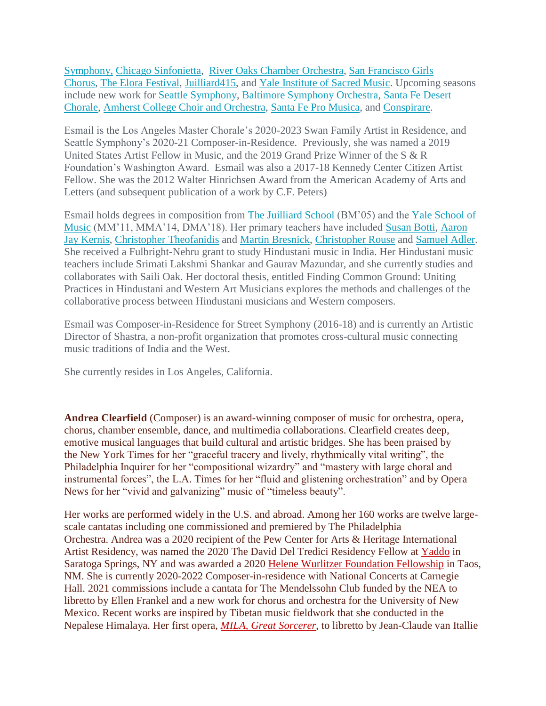[Symphony,](http://albanysymphony.com/) [Chicago Sinfonietta,](http://www.chicagosinfonietta.org/) [River Oaks Chamber Orchestra,](http://rocohouston.org/) [San Francisco Girls](https://www.sfgirlschorus.org/)  [Chorus,](https://www.sfgirlschorus.org/) [The Elora Festival,](https://www.elorafestival.ca/) [Juilliard415,](https://www.juilliard.edu/music) and [Yale Institute of Sacred Music.](https://ism.yale.edu/) Upcoming seasons include new work for [Seattle Symphony,](https://www.seattlesymphony.org/) [Baltimore Symphony Orchestra,](https://www.bsomusic.org/) [Santa Fe Desert](https://desertchorale.org/)  [Chorale,](https://desertchorale.org/) [Amherst College Choir and Orchestra,](http://www.amherstsymphonyorchestra.com/) [Santa Fe Pro Musica,](https://www.sfpromusica.org/) and [Conspirare.](https://conspirare.org/)

Esmail is the Los Angeles Master Chorale's 2020-2023 Swan Family Artist in Residence, and Seattle Symphony's 2020-21 Composer-in-Residence. Previously, she was named a 2019 United States Artist Fellow in Music, and the 2019 Grand Prize Winner of the S & R Foundation's Washington Award. Esmail was also a 2017-18 Kennedy Center Citizen Artist Fellow. She was the 2012 Walter Hinrichsen Award from the American Academy of Arts and Letters (and subsequent publication of a work by C.F. Peters)

Esmail holds degrees in composition from [The Juilliard School](http://www.juilliard.edu/) (BM'05) and the [Yale School of](http://music.yale.edu/)  [Music](http://music.yale.edu/) (MM'11, MMA'14, DMA'18). Her primary teachers have included [Susan Botti,](http://www.susanbotti.com/) [Aaron](http://www.schirmer.com/default.aspx?TabId=2419&State_2872=2&ComposerId_2872=824)  [Jay Kernis,](http://www.schirmer.com/default.aspx?TabId=2419&State_2872=2&ComposerId_2872=824) [Christopher Theofanidis](http://pcm.peabody.jhu.edu/~theofanidis/) and [Martin Bresnick,](http://www.martinbresnick.com/) [Christopher Rouse](http://www.christopherrouse.com/) and [Samuel Adler.](http://www.samueladler.com/) She received a Fulbright-Nehru grant to study Hindustani music in India. Her Hindustani music teachers include Srimati Lakshmi Shankar and Gaurav Mazundar, and she currently studies and collaborates with Saili Oak. Her doctoral thesis, entitled Finding Common Ground: Uniting Practices in Hindustani and Western Art Musicians explores the methods and challenges of the collaborative process between Hindustani musicians and Western composers.

Esmail was Composer-in-Residence for Street Symphony (2016-18) and is currently an Artistic Director of Shastra, a non-profit organization that promotes cross-cultural music connecting music traditions of India and the West.

She currently resides in Los Angeles, California.

**Andrea Clearfield** (Composer) is an award-winning composer of music for orchestra, opera, chorus, chamber ensemble, dance, and multimedia collaborations. Clearfield creates deep, emotive musical languages that build cultural and artistic bridges. She has been praised by the New York Times for her "graceful tracery and lively, rhythmically vital writing", the Philadelphia Inquirer for her "compositional wizardry" and "mastery with large choral and instrumental forces", the L.A. Times for her "fluid and glistening orchestration" and by Opera News for her "vivid and galvanizing" music of "timeless beauty".

Her works are performed widely in the U.S. and abroad. Among her 160 works are twelve largescale cantatas including one commissioned and premiered by The Philadelphia Orchestra. Andrea was a 2020 recipient of the Pew Center for Arts & Heritage International Artist Residency, was named the 2020 The David Del Tredici Residency Fellow at [Yaddo](https://www.yaddo.org/) in Saratoga Springs, NY and was awarded a 2020 Helene Wurlitzer [Foundation](https://wurlitzerfoundation.org/) Fellowship in Taos, NM. She is currently 2020-2022 Composer-in-residence with National Concerts at Carnegie Hall. 2021 commissions include a cantata for The Mendelssohn Club funded by the NEA to libretto by Ellen Frankel and a new work for chorus and orchestra for the University of New Mexico. Recent works are inspired by Tibetan music fieldwork that she conducted in the Nepalese Himalaya. Her first opera, *MILA, Great [Sorcerer](http://www.adriandimanlig.com/viewpoints-prototpye-2019-continues-to-aggressively-push-the-boundaries-of-opera-and-music-theater/)*, to libretto by Jean-Claude van Itallie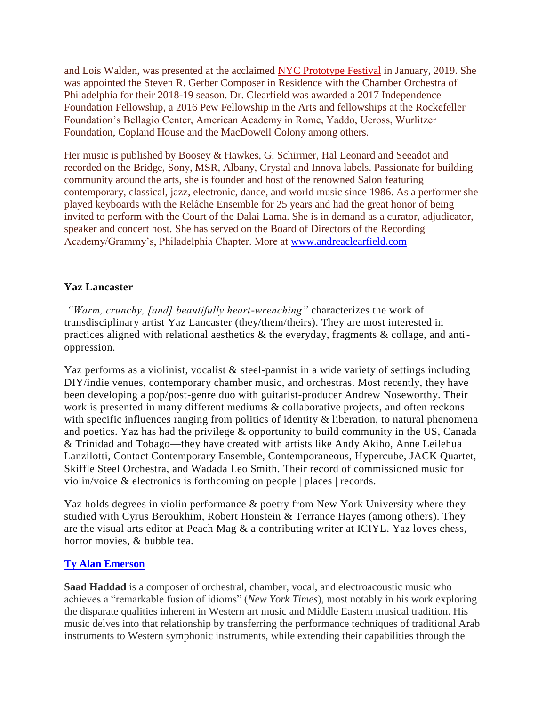and Lois Walden, was presented at the acclaimed NYC [Prototype](http://prototypefestival.org/shows/mila-great-sorcerer/?fbclid=IwAR1H60RSZSlys6cAvM8VN7ZJFMR4WlG1Nj_oX2ioYBV5QOPu72-xUx90DXc) Festival in January, 2019. She was appointed the Steven R. Gerber Composer in Residence with the Chamber Orchestra of Philadelphia for their 2018-19 season. Dr. Clearfield was awarded a 2017 Independence Foundation Fellowship, a 2016 Pew Fellowship in the Arts and fellowships at the Rockefeller Foundation's Bellagio Center, American Academy in Rome, Yaddo, Ucross, Wurlitzer Foundation, Copland House and the MacDowell Colony among others.

Her music is published by Boosey & Hawkes, G. Schirmer, Hal Leonard and Seeadot and recorded on the Bridge, Sony, MSR, Albany, Crystal and Innova labels. Passionate for building community around the arts, she is founder and host of the renowned Salon featuring contemporary, classical, jazz, electronic, dance, and world music since 1986. As a performer she played keyboards with the Relâche Ensemble for 25 years and had the great honor of being invited to perform with the Court of the Dalai Lama. She is in demand as a curator, adjudicator, speaker and concert host. She has served on the Board of Directors of the Recording Academy/Grammy's, Philadelphia Chapter. More at [www.andreaclearfield.com](http://www.andreaclearfield.com/)

# **Yaz Lancaster**

*"Warm, crunchy, [and] beautifully heart-wrenching"* characterizes the work of transdisciplinary artist Yaz Lancaster (they/them/theirs). They are most interested in practices aligned with relational aesthetics & the everyday, fragments & collage, and antioppression.

Yaz performs as a violinist, vocalist & steel-pannist in a wide variety of settings including DIY/indie venues, contemporary chamber music, and orchestras. Most recently, they have been developing a pop/post-genre duo with guitarist-producer Andrew Noseworthy. Their work is presented in many different mediums  $\&$  collaborative projects, and often reckons with specific influences ranging from politics of identity & liberation, to natural phenomena and poetics. Yaz has had the privilege & opportunity to build community in the US, Canada & Trinidad and Tobago—they have created with artists like Andy Akiho, Anne Leilehua Lanzilotti, Contact Contemporary Ensemble, Contemporaneous, Hypercube, JACK Quartet, Skiffle Steel Orchestra, and Wadada Leo Smith. Their record of commissioned music for violin/voice & electronics is forthcoming on people | places | records.

Yaz holds degrees in violin performance & poetry from New York University where they studied with Cyrus Beroukhim, Robert Honstein & Terrance Hayes (among others). They are the visual arts editor at Peach Mag & a contributing writer at ICIYL. Yaz loves chess, horror movies, & bubble tea.

## **[Ty Alan Emerson](http://www.tyalanemerson.com/)**

**Saad Haddad** is a composer of orchestral, chamber, vocal, and electroacoustic music who achieves a "remarkable fusion of idioms" (*New York Times*), most notably in his work exploring the disparate qualities inherent in Western art music and Middle Eastern musical tradition. His music delves into that relationship by transferring the performance techniques of traditional Arab instruments to Western symphonic instruments, while extending their capabilities through the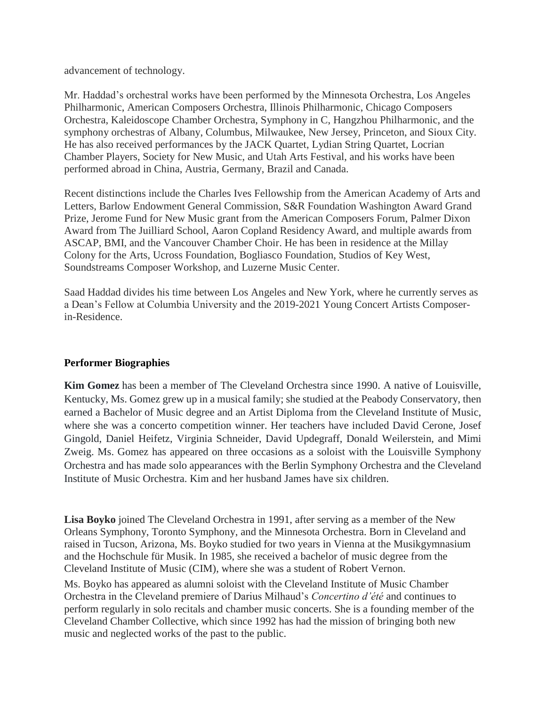advancement of technology.

Mr. Haddad's orchestral works have been performed by the Minnesota Orchestra, Los Angeles Philharmonic, American Composers Orchestra, Illinois Philharmonic, Chicago Composers Orchestra, Kaleidoscope Chamber Orchestra, Symphony in C, Hangzhou Philharmonic, and the symphony orchestras of Albany, Columbus, Milwaukee, New Jersey, Princeton, and Sioux City. He has also received performances by the JACK Quartet, Lydian String Quartet, Locrian Chamber Players, Society for New Music, and Utah Arts Festival, and his works have been performed abroad in China, Austria, Germany, Brazil and Canada.

Recent distinctions include the Charles Ives Fellowship from the American Academy of Arts and Letters, Barlow Endowment General Commission, S&R Foundation Washington Award Grand Prize, Jerome Fund for New Music grant from the American Composers Forum, Palmer Dixon Award from The Juilliard School, Aaron Copland Residency Award, and multiple awards from ASCAP, BMI, and the Vancouver Chamber Choir. He has been in residence at the Millay Colony for the Arts, Ucross Foundation, Bogliasco Foundation, Studios of Key West, Soundstreams Composer Workshop, and Luzerne Music Center.

Saad Haddad divides his time between Los Angeles and New York, where he currently serves as a Dean's Fellow at Columbia University and the 2019-2021 Young Concert Artists Composerin-Residence.

## **Performer Biographies**

**Kim Gomez** has been a member of The Cleveland Orchestra since 1990. A native of Louisville, Kentucky, Ms. Gomez grew up in a musical family; she studied at the Peabody Conservatory, then earned a Bachelor of Music degree and an Artist Diploma from the Cleveland Institute of Music, where she was a concerto competition winner. Her teachers have included David Cerone, Josef Gingold, Daniel Heifetz, Virginia Schneider, David Updegraff, Donald Weilerstein, and Mimi Zweig. Ms. Gomez has appeared on three occasions as a soloist with the Louisville Symphony Orchestra and has made solo appearances with the Berlin Symphony Orchestra and the Cleveland Institute of Music Orchestra. Kim and her husband James have six children.

**Lisa Boyko** joined The Cleveland Orchestra in 1991, after serving as a member of the New Orleans Symphony, Toronto Symphony, and the Minnesota Orchestra. Born in Cleveland and raised in Tucson, Arizona, Ms. Boyko studied for two years in Vienna at the Musikgymnasium and the Hochschule für Musik. In 1985, she received a bachelor of music degree from the Cleveland Institute of Music (CIM), where she was a student of Robert Vernon.

Ms. Boyko has appeared as alumni soloist with the Cleveland Institute of Music Chamber Orchestra in the Cleveland premiere of Darius Milhaud's *Concertino d'été* and continues to perform regularly in solo recitals and chamber music concerts. She is a founding member of the Cleveland Chamber Collective, which since 1992 has had the mission of bringing both new music and neglected works of the past to the public.